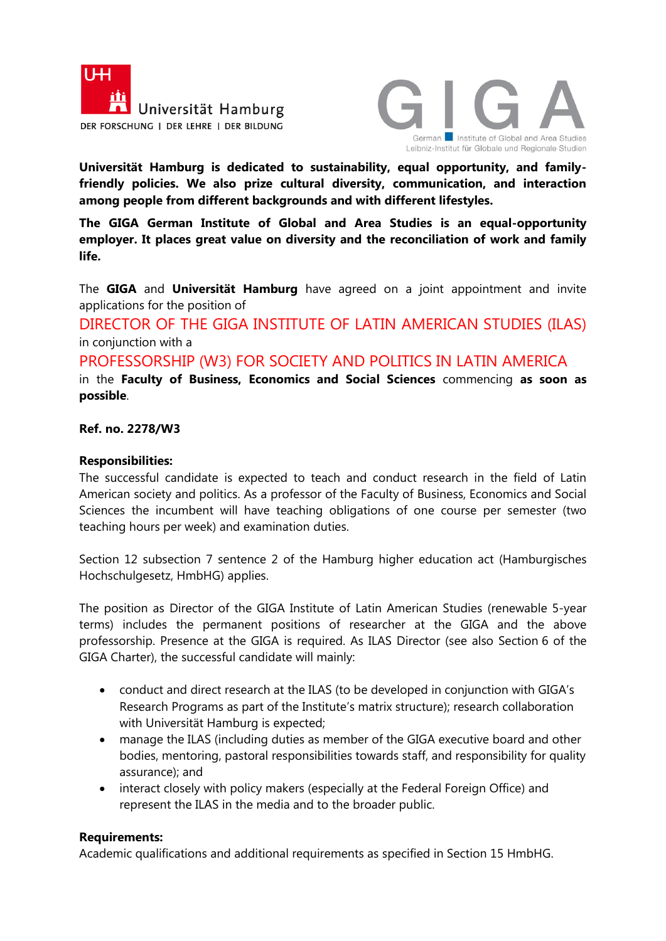



**Universität Hamburg is dedicated to sustainability, equal opportunity, and familyfriendly policies. We also prize cultural diversity, communication, and interaction among people from different backgrounds and with different lifestyles.** 

**The GIGA German Institute of Global and Area Studies is an equal-opportunity employer. It places great value on diversity and the reconciliation of work and family life.**

The **GIGA** and **Universität Hamburg** have agreed on a joint appointment and invite applications for the position of

DIRECTOR OF THE GIGA INSTITUTE OF LATIN AMERICAN STUDIES (ILAS) in conjunction with a

PROFESSORSHIP (W3) FOR SOCIETY AND POLITICS IN LATIN AMERICA in the **Faculty of Business, Economics and Social Sciences** commencing **as soon as possible**.

## **Ref. no. 2278/W3**

## **Responsibilities:**

The successful candidate is expected to teach and conduct research in the field of Latin American society and politics. As a professor of the Faculty of Business, Economics and Social Sciences the incumbent will have teaching obligations of one course per semester (two teaching hours per week) and examination duties.

Section 12 subsection 7 sentence 2 of the Hamburg higher education act (Hamburgisches Hochschulgesetz, HmbHG) applies.

The position as Director of the GIGA Institute of Latin American Studies (renewable 5-year terms) includes the permanent positions of researcher at the GIGA and the above professorship. Presence at the GIGA is required. As ILAS Director (see also Section 6 of the GIGA Charter), the successful candidate will mainly:

- conduct and direct research at the ILAS (to be developed in conjunction with GIGA's Research Programs as part of the Institute's matrix structure); research collaboration with Universität Hamburg is expected;
- manage the ILAS (including duties as member of the GIGA executive board and other bodies, mentoring, pastoral responsibilities towards staff, and responsibility for quality assurance); and
- interact closely with policy makers (especially at the Federal Foreign Office) and represent the ILAS in the media and to the broader public.

## **Requirements:**

Academic qualifications and additional requirements as specified in Section 15 HmbHG.